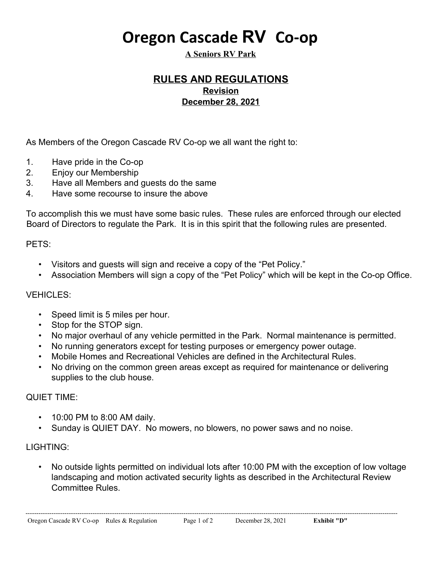# **Oregon Cascade RV Co-op**

**A Seniors RV Park**

# **RULES AND REGULATIONS Revision December 28, 2021**

As Members of the Oregon Cascade RV Co-op we all want the right to:

- 1. Have pride in the Co-op
- 2. Enjoy our Membership
- 3. Have all Members and guests do the same
- 4. Have some recourse to insure the above

To accomplish this we must have some basic rules. These rules are enforced through our elected Board of Directors to regulate the Park. It is in this spirit that the following rules are presented.

#### PETS:

- Visitors and guests will sign and receive a copy of the "Pet Policy."
- Association Members will sign a copy of the "Pet Policy" which will be kept in the Co-op Office.

## VEHICLES:

- Speed limit is 5 miles per hour.
- Stop for the STOP sign.
- No major overhaul of any vehicle permitted in the Park. Normal maintenance is permitted.
- No running generators except for testing purposes or emergency power outage.
- Mobile Homes and Recreational Vehicles are defined in the Architectural Rules.
- No driving on the common green areas except as required for maintenance or delivering supplies to the club house.

## QUIET TIME:

- 10:00 PM to 8:00 AM daily.
- Sunday is QUIET DAY. No mowers, no blowers, no power saws and no noise.

## LIGHTING:

• No outside lights permitted on individual lots after 10:00 PM with the exception of low voltage landscaping and motion activated security lights as described in the Architectural Review Committee Rules.